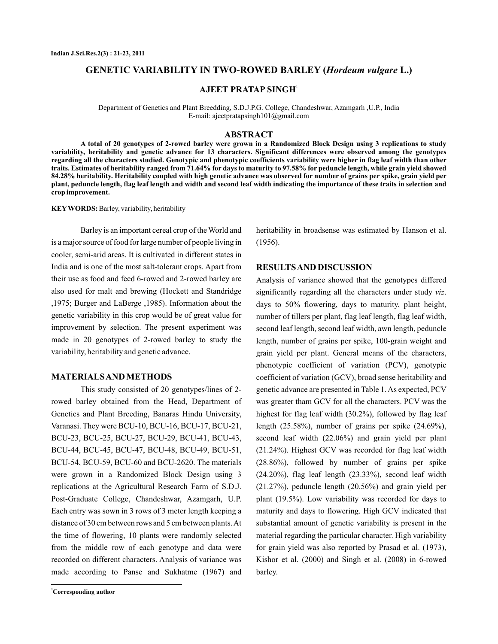# **GENETIC VARIABILITY IN TWO-ROWED BARLEY (Hordeum vulgare L.)**

**AJEET PRATAP SINGH** 1

Department of Genetics and Plant Breedding, S.D.J.P.G. College, Chandeshwar, Azamgarh ,U.P., India E-mail: ajeetpratapsingh101@gmail.com

#### **ABSTRACT**

**A total of 20 genotypes of 2-rowed barley were grown in a Randomized Block Design using 3 replications to study variability, heritability and genetic advance for 13 characters. Significant differences were observed among the genotypes regarding all the characters studied. Genotypic and phenotypic coefficients variability were higher in flag leaf width than other traits. Estimates of heritability ranged from 71.64% for days to maturity to 97.58% for peduncle length, while grain yield showed 84.28% heritability. Heritability coupled with high genetic advance was observed for number of grains per spike, grain yield per plant, peduncle length, flag leaf length and width and second leaf width indicating the importance of these traits in selection and crop improvement.**

KEY WORDS: Barley, variability, heritability

Barley is an important cereal crop of theWorld and is a major source of food for large number of people living in cooler, semi-arid areas. It is cultivated in different states in India and is one of the most salt-tolerant crops. Apart from their use as food and feed 6-rowed and 2-rowed barley are also used for malt and brewing (Hockett and Standridge ,1975; Burger and LaBerge ,1985). Information about the genetic variability in this crop would be of great value for improvement by selection. The present experiment was made in 20 genotypes of 2-rowed barley to study the variability, heritability and genetic advance.

### **MATERIALSAND METHODS**

This study consisted of 20 genotypes/lines of 2 rowed barley obtained from the Head, Department of Genetics and Plant Breeding, Banaras Hindu University, Varanasi. They were BCU-10, BCU-16, BCU-17, BCU-21, BCU-23, BCU-25, BCU-27, BCU-29, BCU-41, BCU-43, BCU-44, BCU-45, BCU-47, BCU-48, BCU-49, BCU-51, BCU-54, BCU-59, BCU-60 and BCU-2620. The materials were grown in a Randomized Block Design using 3 replications at the Agricultural Research Farm of S.D.J. Post-Graduate College, Chandeshwar, Azamgarh, U.P. Each entry was sown in 3 rows of 3 meter length keeping a distance of 30 cm between rows and 5 cm between plants.At the time of flowering, 10 plants were randomly selected from the middle row of each genotype and data were recorded on different characters. Analysis of variance was made according to Panse and Sukhatme (1967) and heritability in broadsense was estimated by Hanson et al. (1956).

#### **RESULTSAND DISCUSSION**

Analysis of variance showed that the genotypes differed significantly regarding all the characters under study viz. days to 50% flowering, days to maturity, plant height, number of tillers per plant, flag leaf length, flag leaf width, second leaf length, second leaf width, awn length, peduncle length, number of grains per spike, 100-grain weight and grain yield per plant. General means of the characters, phenotypic coefficient of variation (PCV), genotypic coefficient of variation (GCV), broad sense heritability and genetic advance are presented in Table 1. As expected, PCV was greater tham GCV for all the characters. PCV was the highest for flag leaf width (30.2%), followed by flag leaf length (25.58%), number of grains per spike (24.69%), second leaf width (22.06%) and grain yield per plant (21.24%). Highest GCV was recorded for flag leaf width (28.86%), followed by number of grains per spike (24.20%), flag leaf length (23.33%), second leaf width (21.27%), peduncle length (20.56%) and grain yield per plant (19.5%). Low variability was recorded for days to maturity and days to flowering. High GCV indicated that substantial amount of genetic variability is present in the material regarding the particular character. High variability for grain yield was also reported by Prasad et al. (1973), Kishor et al. (2000) and Singh et al. (2008) in 6-rowed barley.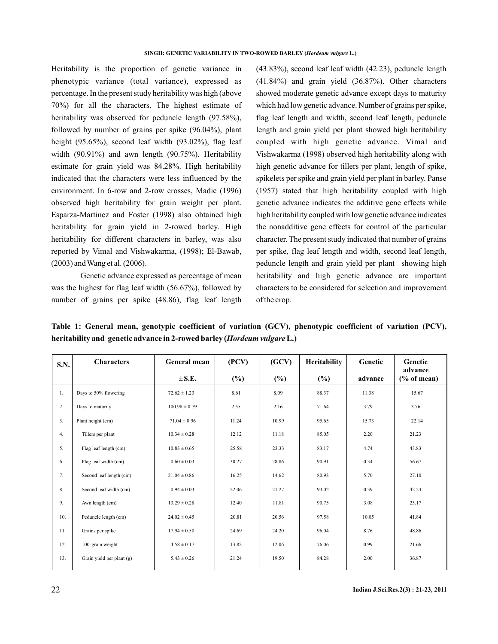Heritability is the proportion of genetic variance in phenotypic variance (total variance), expressed as percentage. In the present study heritability was high (above 70%) for all the characters. The highest estimate of heritability was observed for peduncle length (97.58%), followed by number of grains per spike (96.04%), plant height (95.65%), second leaf width (93.02%), flag leaf width (90.91%) and awn length (90.75%). Heritability estimate for grain yield was 84.28%. High heritability indicated that the characters were less influenced by the environment. In 6-row and 2-row crosses, Madic (1996) observed high heritability for grain weight per plant. Esparza-Martinez and Foster (1998) also obtained high heritability for grain yield in 2-rowed barley. High heritability for different characters in barley, was also reported by Vimal and Vishwakarma, (1998); El-Bawab, (2003) andWang et al. (2006).

Genetic advance expressed as percentage of mean was the highest for flag leaf width (56.67%), followed by number of grains per spike (48.86), flag leaf length (43.83%), second leaf leaf width (42.23), peduncle length (41.84%) and grain yield (36.87%). Other characters showed moderate genetic advance except days to maturity which had low genetic advance. Number of grains per spike, flag leaf length and width, second leaf length, peduncle length and grain yield per plant showed high heritability coupled with high genetic advance. Vimal and Vishwakarma (1998) observed high heritability along with high genetic advance for tillers per plant, length of spike, spikelets per spike and grain yield per plant in barley. Panse (1957) stated that high heritability coupled with high genetic advance indicates the additive gene effects while high heritability coupled with low genetic advance indicates the nonadditive gene effects for control of the particular character. The present study indicated that number of grains per spike, flag leaf length and width, second leaf length, peduncle length and grain yield per plant showing high heritability and high genetic advance are important characters to be considered for selection and improvement of the crop.

**Table 1: General mean, genotypic coefficient of variation (GCV), phenotypic coefficient of variation (PCV),** heritability and genetic advance in 2-rowed barley (*Hordeum vulgare* L.)

| S.N.           | <b>Characters</b>         | General mean      | (PCV)  | (GCV)  | Heritability | Genetic | Genetic<br>advance |
|----------------|---------------------------|-------------------|--------|--------|--------------|---------|--------------------|
|                |                           | $\pm$ S.E.        | $(\%)$ | $(\%)$ | $(\%)$       | advance | $(\%$ of mean)     |
| 1.             | Days to 50% flowering     | $72.62 \pm 1.23$  | 8.61   | 8.09   | 88.37        | 11.38   | 15.67              |
| 2.             | Days to maturity          | $100.98 \pm 0.79$ | 2.55   | 2.16   | 71.64        | 3.79    | 3.76               |
| 3 <sub>1</sub> | Plant height (cm)         | $71.04 \pm 0.96$  | 11.24  | 10.99  | 95.65        | 15.73   | 22.14              |
| 4.             | Tillers per plant         | $10.34 \pm 0.28$  | 12.12  | 11.18  | 85.05        | 2.20    | 21.23              |
| 5.             | Flag leaf length (cm)     | $10.83 \pm 0.65$  | 25.58  | 23.33  | 83.17        | 4.74    | 43.83              |
| 6.             | Flag leaf width (cm)      | $0.60 \pm 0.03$   | 30.27  | 28.86  | 90.91        | 0.34    | 56.67              |
| 7.             | Second leaf length (cm)   | $21.04 \pm 0.86$  | 16.25  | 14.62  | 80.93        | 5.70    | 27.10              |
| 8.             | Second leaf width (cm)    | $0.94 \pm 0.03$   | 22.06  | 21.27  | 93.02        | 0.39    | 42.23              |
| 9.             | Awn length (cm)           | $13.29 \pm 0.28$  | 12.40  | 11.81  | 90.75        | 3.08    | 23.17              |
| 10.            | Peduncle length (cm)      | $24.02 \pm 0.45$  | 20.81  | 20.56  | 97.58        | 10.05   | 41.84              |
| 11.            | Grains per spike          | $17.94 \pm 0.50$  | 24.69  | 24.20  | 96.04        | 8.76    | 48.86              |
| 12.            | 100-grain weight          | $4.58 \pm 0.17$   | 13.82  | 12.06  | 76.06        | 0.99    | 21.66              |
| 13.            | Grain yield per plant (g) | $5.43 \pm 0.26$   | 21.24  | 19.50  | 84.28        | 2.00    | 36.87              |
|                |                           |                   |        |        |              |         |                    |